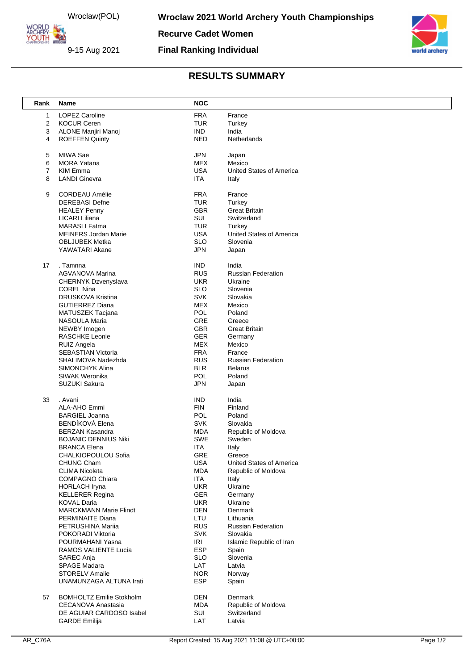Wroclaw(POL)

ORLD ARCHERY

9-15 Aug 2021

**Recurve Cadet Women**

## **Final Ranking Individual**



## **RESULTS SUMMARY**

| Rank                    | <b>Name</b>                                           | <b>NOC</b> |                                 |
|-------------------------|-------------------------------------------------------|------------|---------------------------------|
| 1                       | <b>LOPEZ Caroline</b>                                 | <b>FRA</b> | France                          |
| $\overline{\mathbf{c}}$ | <b>KOCUR Ceren</b>                                    | <b>TUR</b> | Turkey                          |
| 3                       | ALONE Manjiri Manoj                                   | <b>IND</b> | India                           |
| 4                       | <b>ROEFFEN Quinty</b>                                 | <b>NED</b> | Netherlands                     |
|                         |                                                       |            |                                 |
| 5                       | MIWA Sae                                              | <b>JPN</b> | Japan                           |
| 6                       | <b>MORA Yatana</b>                                    | MEX        | Mexico                          |
| 7                       | <b>KIM Emma</b>                                       | <b>USA</b> | <b>United States of America</b> |
| 8                       | <b>LANDI Ginevra</b>                                  | <b>ITA</b> | Italy                           |
|                         |                                                       |            |                                 |
| 9                       | <b>CORDEAU Amélie</b>                                 | <b>FRA</b> | France                          |
|                         | <b>DEREBASI Defne</b>                                 | <b>TUR</b> | Turkey                          |
|                         | <b>HEALEY Penny</b>                                   | <b>GBR</b> | <b>Great Britain</b>            |
|                         | LICARI Liliana                                        | SUI        | Switzerland                     |
|                         | <b>MARASLI</b> Fatma                                  | <b>TUR</b> | Turkey                          |
|                         | <b>MEINERS Jordan Marie</b>                           | <b>USA</b> | United States of America        |
|                         | <b>OBLJUBEK Metka</b>                                 | <b>SLO</b> | Slovenia                        |
|                         | YAWATARI Akane                                        | <b>JPN</b> | Japan                           |
| 17                      | . Tamnna                                              | <b>IND</b> | India                           |
|                         | <b>AGVANOVA Marina</b>                                | <b>RUS</b> | <b>Russian Federation</b>       |
|                         | CHERNYK Dzvenyslava                                   | <b>UKR</b> | Ukraine                         |
|                         | <b>COREL Nina</b>                                     | <b>SLO</b> | Slovenia                        |
|                         | <b>DRUSKOVA Kristina</b>                              | <b>SVK</b> | Slovakia                        |
|                         | <b>GUTIERREZ Diana</b>                                | <b>MEX</b> | Mexico                          |
|                         | MATUSZEK Tacjana                                      | POL        | Poland                          |
|                         | <b>NASOULA Maria</b>                                  | GRE        | Greece                          |
|                         | NEWBY Imogen                                          | <b>GBR</b> | <b>Great Britain</b>            |
|                         | <b>RASCHKE Leonie</b>                                 | <b>GER</b> | Germany                         |
|                         | RUIZ Angela                                           | <b>MEX</b> | Mexico                          |
|                         | <b>SEBASTIAN Victoria</b>                             | <b>FRA</b> | France                          |
|                         | SHALIMOVA Nadezhda                                    | <b>RUS</b> | <b>Russian Federation</b>       |
|                         | SIMONCHYK Alina                                       | <b>BLR</b> | <b>Belarus</b>                  |
|                         | SIWAK Weronika                                        | POL        | Poland                          |
|                         | <b>SUZUKI Sakura</b>                                  | <b>JPN</b> | Japan                           |
|                         |                                                       |            |                                 |
| 33                      | . Avani                                               | <b>IND</b> | India                           |
|                         | ALA-AHO Emmi                                          | <b>FIN</b> | Finland                         |
|                         | <b>BARGIEL Joanna</b>                                 | POL        | Poland                          |
|                         | BENDÍKOVÁ Elena                                       | <b>SVK</b> | Slovakia                        |
|                         | <b>BERZAN Kasandra</b><br><b>BOJANIC DENNIUS Niki</b> | MDA<br>SWE | Republic of Moldova<br>Sweden   |
|                         | <b>BRANCA Elena</b>                                   | ITA        | Italy                           |
|                         | CHALKIOPOULOU Sofia                                   | GRE        | Greece                          |
|                         | <b>CHUNG Cham</b>                                     | <b>USA</b> | United States of America        |
|                         | <b>CLIMA Nicoleta</b>                                 | <b>MDA</b> | Republic of Moldova             |
|                         | <b>COMPAGNO Chiara</b>                                | <b>ITA</b> | Italy                           |
|                         | <b>HORLACH Iryna</b>                                  | <b>UKR</b> | Ukraine                         |
|                         | <b>KELLERER Regina</b>                                | <b>GER</b> | Germany                         |
|                         | <b>KOVAL Daria</b>                                    | <b>UKR</b> | Ukraine                         |
|                         | <b>MARCKMANN Marie Flindt</b>                         | <b>DEN</b> | Denmark                         |
|                         | PERMINAITE Diana                                      | LTU        | Lithuania                       |
|                         | PETRUSHINA Mariia                                     | <b>RUS</b> | <b>Russian Federation</b>       |
|                         | POKORADI Viktoria                                     | <b>SVK</b> | Slovakia                        |
|                         | POURMAHANI Yasna                                      | <b>IRI</b> | Islamic Republic of Iran        |
|                         | RAMOS VALIENTE Lucía                                  | ESP        | Spain                           |
|                         | SAREC Anja                                            | <b>SLO</b> | Slovenia                        |
|                         | SPAGE Madara                                          | LAT        | Latvia                          |
|                         | <b>STORELV Amalie</b>                                 | <b>NOR</b> | Norway                          |
|                         | UNAMUNZAGA ALTUNA Irati                               | <b>ESP</b> | Spain                           |
| 57                      | <b>BOMHOLTZ Emilie Stokholm</b>                       | <b>DEN</b> | Denmark                         |
|                         | CECANOVA Anastasia                                    | <b>MDA</b> | Republic of Moldova             |
|                         | DE AGUIAR CARDOSO Isabel                              | SUI        | Switzerland                     |
|                         | <b>GARDE Emilija</b>                                  | LAT        | Latvia                          |
|                         |                                                       |            |                                 |